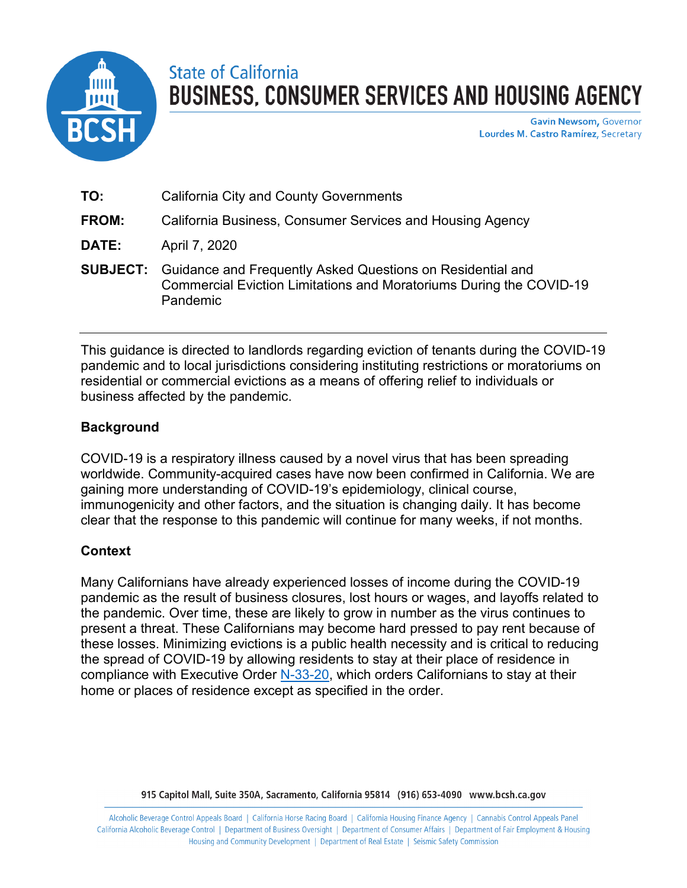

# State of California **BUSINESS, CONSUMER SERVICES AND HOUSING AGENCY**

**Gavin Newsom, Governor** Lourdes M. Castro Ramírez, Secretary

| TO:          | <b>California City and County Governments</b>                                                                                                                 |
|--------------|---------------------------------------------------------------------------------------------------------------------------------------------------------------|
| <b>FROM:</b> | California Business, Consumer Services and Housing Agency                                                                                                     |
| <b>DATE:</b> | April 7, 2020                                                                                                                                                 |
|              | <b>SUBJECT:</b> Guidance and Frequently Asked Questions on Residential and<br>Commercial Eviction Limitations and Moratoriums During the COVID-19<br>Pandemic |

This guidance is directed to landlords regarding eviction of tenants during the COVID-19 pandemic and to local jurisdictions considering instituting restrictions or moratoriums on residential or commercial evictions as a means of offering relief to individuals or business affected by the pandemic.

### **Background**

COVID-19 is a respiratory illness caused by a novel virus that has been spreading worldwide. Community-acquired cases have now been confirmed in California. We are gaining more understanding of COVID-19's epidemiology, clinical course, immunogenicity and other factors, and the situation is changing daily. It has become clear that the response to this pandemic will continue for many weeks, if not months.

### **Context**

Many Californians have already experienced losses of income during the COVID-19 pandemic as the result of business closures, lost hours or wages, and layoffs related to the pandemic. Over time, these are likely to grow in number as the virus continues to present a threat. These Californians may become hard pressed to pay rent because of these losses. Minimizing evictions is a public health necessity and is critical to reducing the spread of COVID-19 by allowing residents to stay at their place of residence in compliance with Executive Order [N-33-20,](https://covid19.ca.gov/img/Executive-Order-N-33-20.pdf) which orders Californians to stay at their home or places of residence except as specified in the order.

915 Capitol Mall, Suite 350A, Sacramento, California 95814 (916) 653-4090 www.bcsh.ca.gov

Alcoholic Beverage Control Appeals Board | California Horse Racing Board | California Housing Finance Agency | Cannabis Control Appeals Panel California Alcoholic Beverage Control | Department of Business Oversight | Department of Consumer Affairs | Department of Fair Employment & Housing Housing and Community Development | Department of Real Estate | Seismic Safety Commission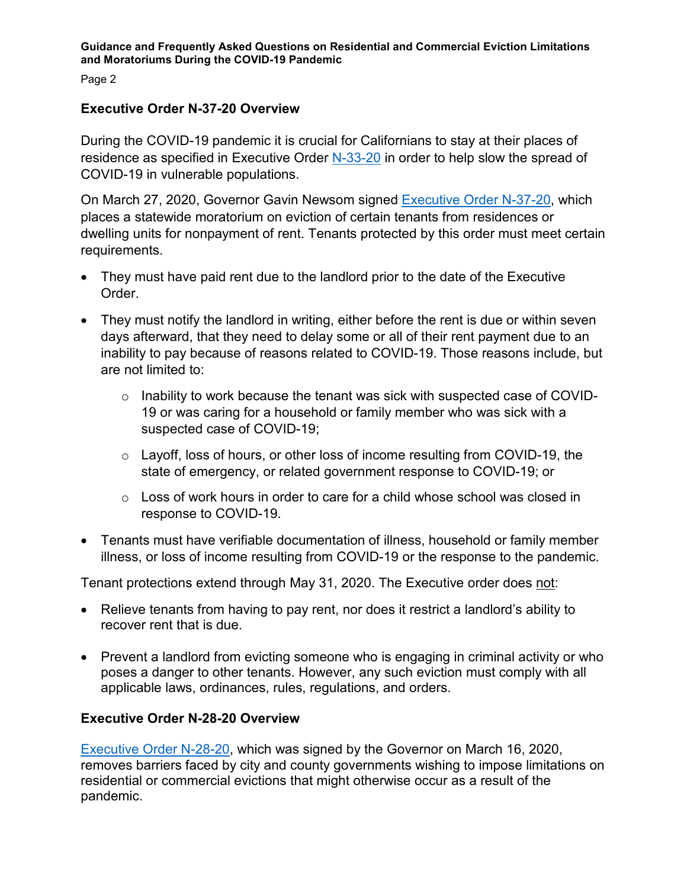Page 2

### **Executive Order N-37-20 Overview**

During the COVID-19 pandemic it is crucial for Californians to stay at their places of residence as specified in Executive Order [N-33-20](https://covid19.ca.gov/img/Executive-Order-N-33-20.pdf) in order to help slow the spread of COVID-19 in vulnerable populations.

On March 27, 2020, Governor Gavin Newsom signed [Executive Order N-37-20,](https://www.gov.ca.gov/wp-content/uploads/2020/03/3.27.20-EO-N-37-20.pdf) which places a statewide moratorium on eviction of certain tenants from residences or dwelling units for nonpayment of rent. Tenants protected by this order must meet certain requirements.

- They must have paid rent due to the landlord prior to the date of the Executive Order.
- They must notify the landlord in writing, either before the rent is due or within seven days afterward, that they need to delay some or all of their rent payment due to an inability to pay because of reasons related to COVID-19. Those reasons include, but are not limited to:
	- o Inability to work because the tenant was sick with suspected case of COVID-19 or was caring for a household or family member who was sick with a suspected case of COVID-19;
	- o Layoff, loss of hours, or other loss of income resulting from COVID-19, the state of emergency, or related government response to COVID-19; or
	- $\circ$  Loss of work hours in order to care for a child whose school was closed in response to COVID-19.
- Tenants must have verifiable documentation of illness, household or family member illness, or loss of income resulting from COVID-19 or the response to the pandemic.

Tenant protections extend through May 31, 2020. The Executive order does not:

- Relieve tenants from having to pay rent, nor does it restrict a landlord's ability to recover rent that is due.
- Prevent a landlord from evicting someone who is engaging in criminal activity or who poses a danger to other tenants. However, any such eviction must comply with all applicable laws, ordinances, rules, regulations, and orders.

### **Executive Order N-28-20 Overview**

[Executive Order N-28-20,](https://www.gov.ca.gov/wp-content/uploads/2020/03/3.16.20-Executive-Order.pdf) which was signed by the Governor on March 16, 2020, removes barriers faced by city and county governments wishing to impose limitations on residential or commercial evictions that might otherwise occur as a result of the pandemic.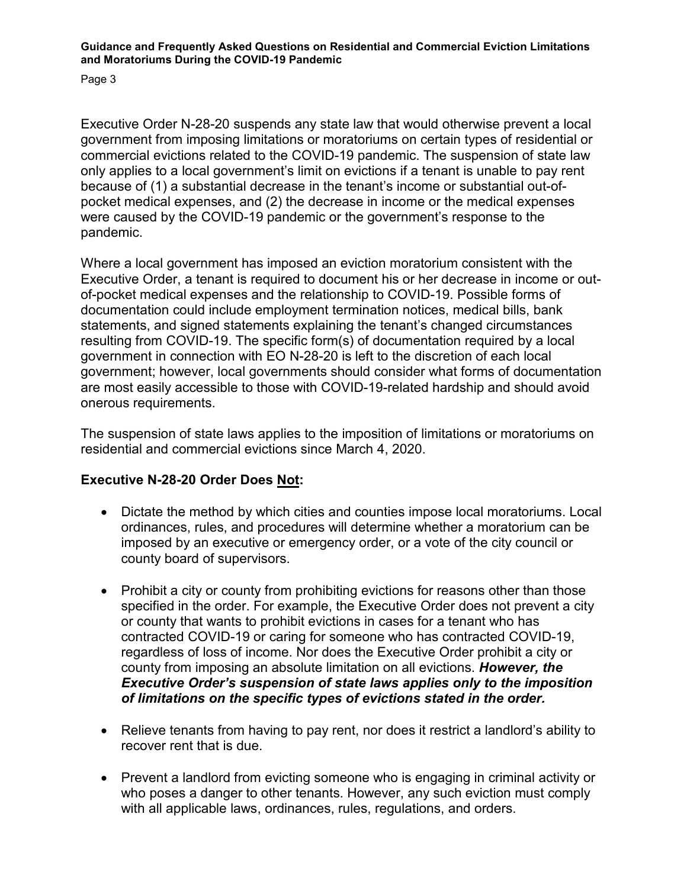Page 3

Executive Order N-28-20 suspends any state law that would otherwise prevent a local government from imposing limitations or moratoriums on certain types of residential or commercial evictions related to the COVID-19 pandemic. The suspension of state law only applies to a local government's limit on evictions if a tenant is unable to pay rent because of (1) a substantial decrease in the tenant's income or substantial out-ofpocket medical expenses, and (2) the decrease in income or the medical expenses were caused by the COVID-19 pandemic or the government's response to the pandemic.

Where a local government has imposed an eviction moratorium consistent with the Executive Order, a tenant is required to document his or her decrease in income or outof-pocket medical expenses and the relationship to COVID-19. Possible forms of documentation could include employment termination notices, medical bills, bank statements, and signed statements explaining the tenant's changed circumstances resulting from COVID-19. The specific form(s) of documentation required by a local government in connection with EO N-28-20 is left to the discretion of each local government; however, local governments should consider what forms of documentation are most easily accessible to those with COVID-19-related hardship and should avoid onerous requirements.

The suspension of state laws applies to the imposition of limitations or moratoriums on residential and commercial evictions since March 4, 2020.

### **Executive N-28-20 Order Does Not:**

- Dictate the method by which cities and counties impose local moratoriums. Local ordinances, rules, and procedures will determine whether a moratorium can be imposed by an executive or emergency order, or a vote of the city council or county board of supervisors.
- Prohibit a city or county from prohibiting evictions for reasons other than those specified in the order. For example, the Executive Order does not prevent a city or county that wants to prohibit evictions in cases for a tenant who has contracted COVID-19 or caring for someone who has contracted COVID-19, regardless of loss of income. Nor does the Executive Order prohibit a city or county from imposing an absolute limitation on all evictions. *However, the Executive Order's suspension of state laws applies only to the imposition of limitations on the specific types of evictions stated in the order.*
- Relieve tenants from having to pay rent, nor does it restrict a landlord's ability to recover rent that is due.
- Prevent a landlord from evicting someone who is engaging in criminal activity or who poses a danger to other tenants. However, any such eviction must comply with all applicable laws, ordinances, rules, regulations, and orders.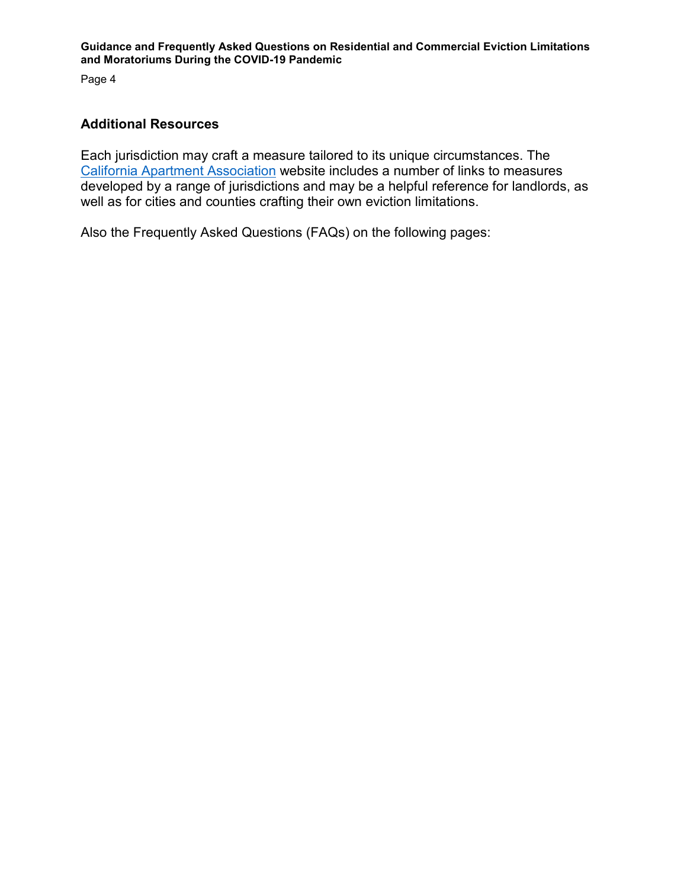Page 4

#### **Additional Resources**

Each jurisdiction may craft a measure tailored to its unique circumstances. The [California Apartment Association](https://caanet.org/coronavirus-resources-for-navigating-the-outbreak/) website includes a number of links to measures developed by a range of jurisdictions and may be a helpful reference for landlords, as well as for cities and counties crafting their own eviction limitations.

Also the Frequently Asked Questions (FAQs) on the following pages: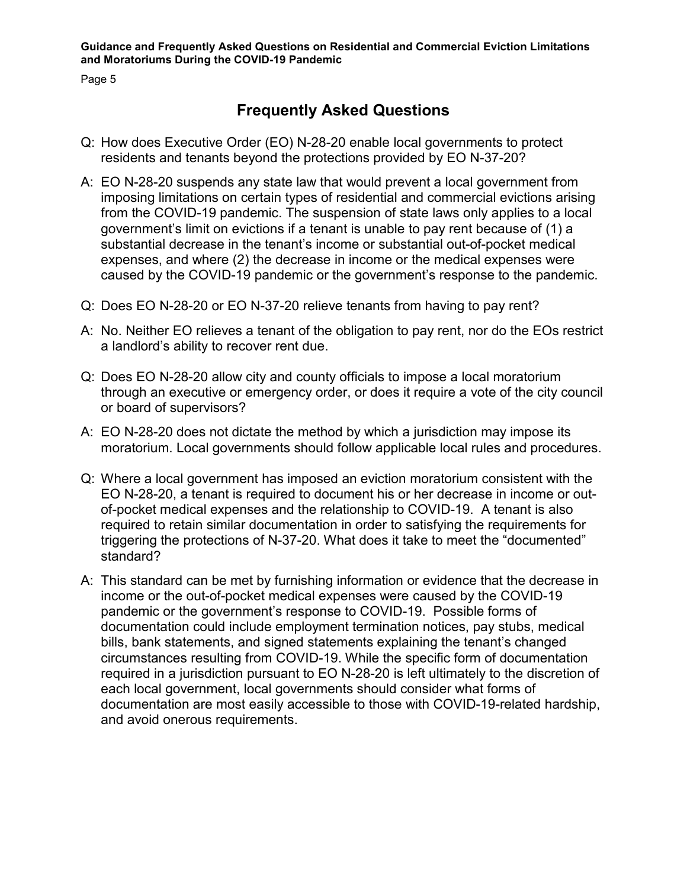Page 5

## **Frequently Asked Questions**

- Q: How does Executive Order (EO) N-28-20 enable local governments to protect residents and tenants beyond the protections provided by EO N-37-20?
- A: EO N-28-20 suspends any state law that would prevent a local government from imposing limitations on certain types of residential and commercial evictions arising from the COVID-19 pandemic. The suspension of state laws only applies to a local government's limit on evictions if a tenant is unable to pay rent because of (1) a substantial decrease in the tenant's income or substantial out-of-pocket medical expenses, and where (2) the decrease in income or the medical expenses were caused by the COVID-19 pandemic or the government's response to the pandemic.
- Q: Does EO N-28-20 or EO N-37-20 relieve tenants from having to pay rent?
- A: No. Neither EO relieves a tenant of the obligation to pay rent, nor do the EOs restrict a landlord's ability to recover rent due.
- Q: Does EO N-28-20 allow city and county officials to impose a local moratorium through an executive or emergency order, or does it require a vote of the city council or board of supervisors?
- A: EO N-28-20 does not dictate the method by which a jurisdiction may impose its moratorium. Local governments should follow applicable local rules and procedures.
- Q: Where a local government has imposed an eviction moratorium consistent with the EO N-28-20, a tenant is required to document his or her decrease in income or outof-pocket medical expenses and the relationship to COVID-19. A tenant is also required to retain similar documentation in order to satisfying the requirements for triggering the protections of N-37-20. What does it take to meet the "documented" standard?
- A: This standard can be met by furnishing information or evidence that the decrease in income or the out-of-pocket medical expenses were caused by the COVID-19 pandemic or the government's response to COVID-19. Possible forms of documentation could include employment termination notices, pay stubs, medical bills, bank statements, and signed statements explaining the tenant's changed circumstances resulting from COVID-19. While the specific form of documentation required in a jurisdiction pursuant to EO N-28-20 is left ultimately to the discretion of each local government, local governments should consider what forms of documentation are most easily accessible to those with COVID-19-related hardship, and avoid onerous requirements.